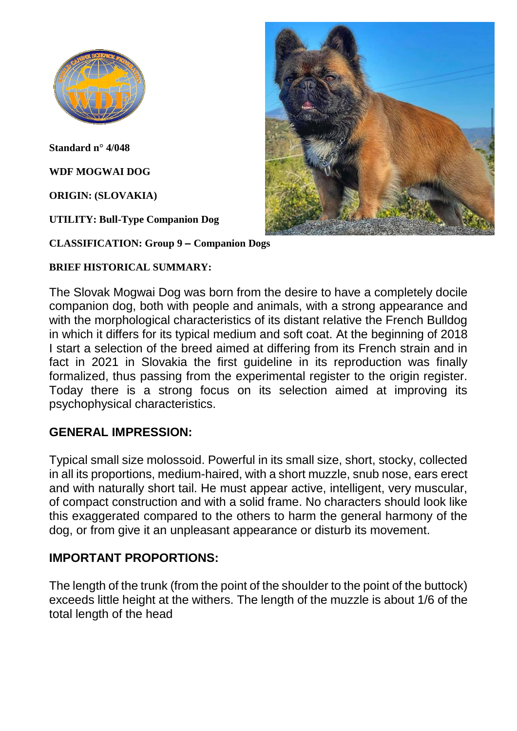

**Standard n° 4/048**

**WDF MOGWAI DOG**

**ORIGIN: (SLOVAKIA)**

**UTILITY: Bull-Type Companion Dog**

**CLASSIFICATION: Group 9 – Companion Dogs**

#### **BRIEF HISTORICAL SUMMARY:**

The Slovak Mogwai Dog was born from the desire to have a completely docile companion dog, both with people and animals, with a strong appearance and with the morphological characteristics of its distant relative the French Bulldog in which it differs for its typical medium and soft coat. At the beginning of 2018 I start a selection of the breed aimed at differing from its French strain and in fact in 2021 in Slovakia the first guideline in its reproduction was finally formalized, thus passing from the experimental register to the origin register. Today there is a strong focus on its selection aimed at improving its psychophysical characteristics.

#### **GENERAL IMPRESSION:**

Typical small size molossoid. Powerful in its small size, short, stocky, collected in all its proportions, medium-haired, with a short muzzle, snub nose, ears erect and with naturally short tail. He must appear active, intelligent, very muscular, of compact construction and with a solid frame. No characters should look like this exaggerated compared to the others to harm the general harmony of the dog, or from give it an unpleasant appearance or disturb its movement.

#### **IMPORTANT PROPORTIONS:**

The length of the trunk (from the point of the shoulder to the point of the buttock) exceeds little height at the withers. The length of the muzzle is about 1/6 of the total length of the head

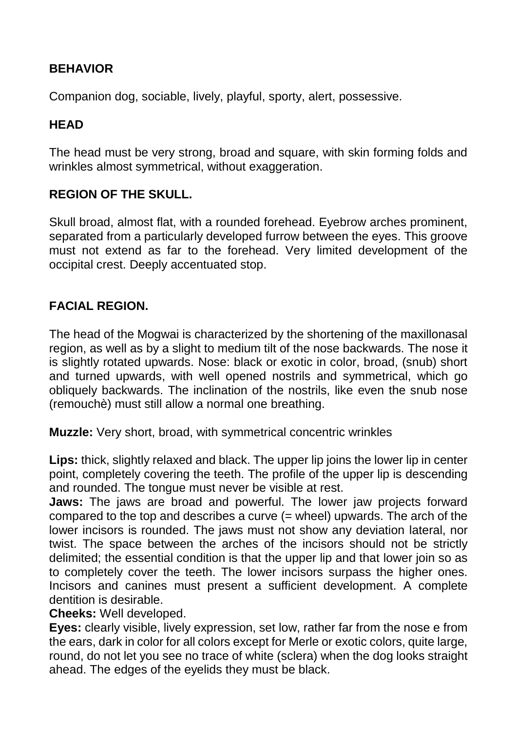## **BEHAVIOR**

Companion dog, sociable, lively, playful, sporty, alert, possessive.

#### **HEAD**

The head must be very strong, broad and square, with skin forming folds and wrinkles almost symmetrical, without exaggeration.

#### **REGION OF THE SKULL.**

Skull broad, almost flat, with a rounded forehead. Eyebrow arches prominent, separated from a particularly developed furrow between the eyes. This groove must not extend as far to the forehead. Very limited development of the occipital crest. Deeply accentuated stop.

#### **FACIAL REGION.**

The head of the Mogwai is characterized by the shortening of the maxillonasal region, as well as by a slight to medium tilt of the nose backwards. The nose it is slightly rotated upwards. Nose: black or exotic in color, broad, (snub) short and turned upwards, with well opened nostrils and symmetrical, which go obliquely backwards. The inclination of the nostrils, like even the snub nose (remouchè) must still allow a normal one breathing.

**Muzzle:** Very short, broad, with symmetrical concentric wrinkles

**Lips:** thick, slightly relaxed and black. The upper lip joins the lower lip in center point, completely covering the teeth. The profile of the upper lip is descending and rounded. The tongue must never be visible at rest.

**Jaws:** The jaws are broad and powerful. The lower jaw projects forward compared to the top and describes a curve (= wheel) upwards. The arch of the lower incisors is rounded. The jaws must not show any deviation lateral, nor twist. The space between the arches of the incisors should not be strictly delimited; the essential condition is that the upper lip and that lower join so as to completely cover the teeth. The lower incisors surpass the higher ones. Incisors and canines must present a sufficient development. A complete dentition is desirable.

**Cheeks:** Well developed.

**Eyes:** clearly visible, lively expression, set low, rather far from the nose e from the ears, dark in color for all colors except for Merle or exotic colors, quite large, round, do not let you see no trace of white (sclera) when the dog looks straight ahead. The edges of the eyelids they must be black.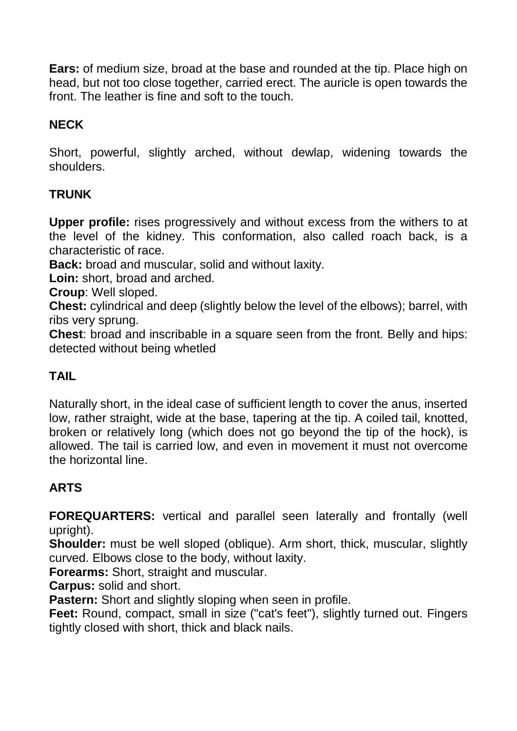**Ears:** of medium size, broad at the base and rounded at the tip. Place high on head, but not too close together, carried erect. The auricle is open towards the front. The leather is fine and soft to the touch.

# **NECK**

Short, powerful, slightly arched, without dewlap, widening towards the shoulders.

## **TRUNK**

**Upper profile:** rises progressively and without excess from the withers to at the level of the kidney. This conformation, also called roach back, is a characteristic of race.

**Back:** broad and muscular, solid and without laxity.

**Loin:** short, broad and arched.

**Croup**: Well sloped.

**Chest:** cylindrical and deep (slightly below the level of the elbows); barrel, with ribs very sprung.

**Chest**: broad and inscribable in a square seen from the front. Belly and hips: detected without being whetled

#### **TAIL**

Naturally short, in the ideal case of sufficient length to cover the anus, inserted low, rather straight, wide at the base, tapering at the tip. A coiled tail, knotted, broken or relatively long (which does not go beyond the tip of the hock), is allowed. The tail is carried low, and even in movement it must not overcome the horizontal line.

## **ARTS**

**FOREQUARTERS:** vertical and parallel seen laterally and frontally (well upright).

**Shoulder:** must be well sloped (oblique). Arm short, thick, muscular, slightly curved. Elbows close to the body, without laxity.

**Forearms:** Short, straight and muscular.

**Carpus:** solid and short.

**Pastern:** Short and slightly sloping when seen in profile.

**Feet:** Round, compact, small in size ("cat's feet"), slightly turned out. Fingers tightly closed with short, thick and black nails.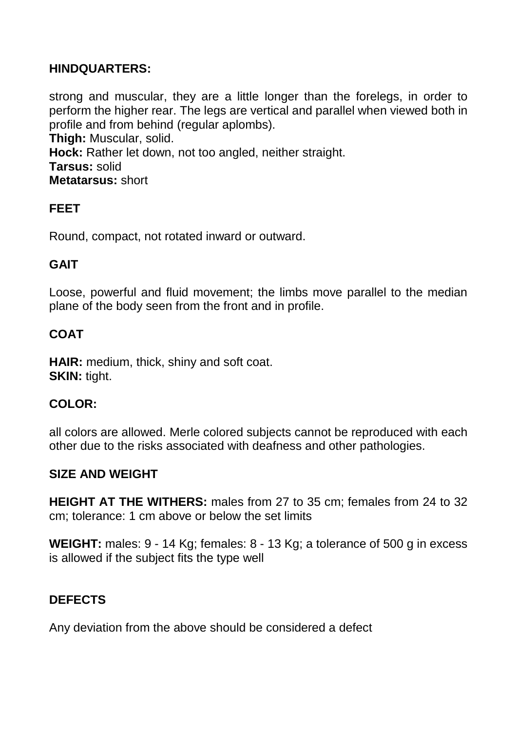## **HINDQUARTERS:**

strong and muscular, they are a little longer than the forelegs, in order to perform the higher rear. The legs are vertical and parallel when viewed both in profile and from behind (regular aplombs). **Thigh:** Muscular, solid. **Hock:** Rather let down, not too angled, neither straight. **Tarsus:** solid **Metatarsus:** short

## **FEET**

Round, compact, not rotated inward or outward.

## **GAIT**

Loose, powerful and fluid movement; the limbs move parallel to the median plane of the body seen from the front and in profile.

#### **COAT**

**HAIR:** medium, thick, shiny and soft coat. **SKIN: tight.** 

#### **COLOR:**

all colors are allowed. Merle colored subjects cannot be reproduced with each other due to the risks associated with deafness and other pathologies.

#### **SIZE AND WEIGHT**

**HEIGHT AT THE WITHERS:** males from 27 to 35 cm; females from 24 to 32 cm; tolerance: 1 cm above or below the set limits

**WEIGHT:** males: 9 - 14 Kg; females: 8 - 13 Kg; a tolerance of 500 g in excess is allowed if the subject fits the type well

## **DEFECTS**

Any deviation from the above should be considered a defect